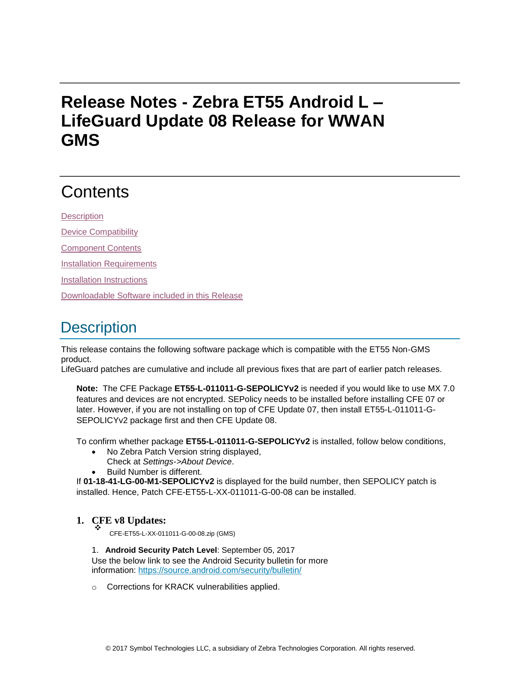# **Release Notes - Zebra ET55 Android L – LifeGuard Update 08 Release for WWAN GMS**

# **Contents**

**[Description](#page-0-0)** 

[Device Compatibility](#page-2-0)

[Component Contents](#page-3-0)

[Installation Requirements](#page-3-1)

[Installation Instructions](#page-3-2)

[Downloadable Software included in this Release](#page-5-0)

# <span id="page-0-0"></span>**Description**

This release contains the following software package which is compatible with the ET55 Non-GMS product.

LifeGuard patches are cumulative and include all previous fixes that are part of earlier patch releases.

**Note:** The CFE Package **ET55-L-011011-G-SEPOLICYv2** is needed if you would like to use MX 7.0 features and devices are not encrypted. SEPolicy needs to be installed before installing CFE 07 or later. However, if you are not installing on top of CFE Update 07, then install ET55-L-011011-G-SEPOLICYv2 package first and then CFE Update 08.

To confirm whether package **ET55-L-011011-G-SEPOLICYv2** is installed, follow below conditions,

- No Zebra Patch Version string displayed,
- Check at *Settings->About Device*.
- Build Number is different.

If **01-18-41-LG-00-M1-SEPOLICYv2** is displayed for the build number, then SEPOLICY patch is installed. Hence, Patch CFE-ET55-L-XX-011011-G-00-08 can be installed.

#### **1. CFE v8 Updates:** ❖

CFE-ET55-L-XX-011011-G-00-08.zip (GMS)

1. **Android Security Patch Level**: September 05, 2017 Use the below link to see the Android Security bulletin for more information:<https://source.android.com/security/bulletin/>

o Corrections for KRACK vulnerabilities applied.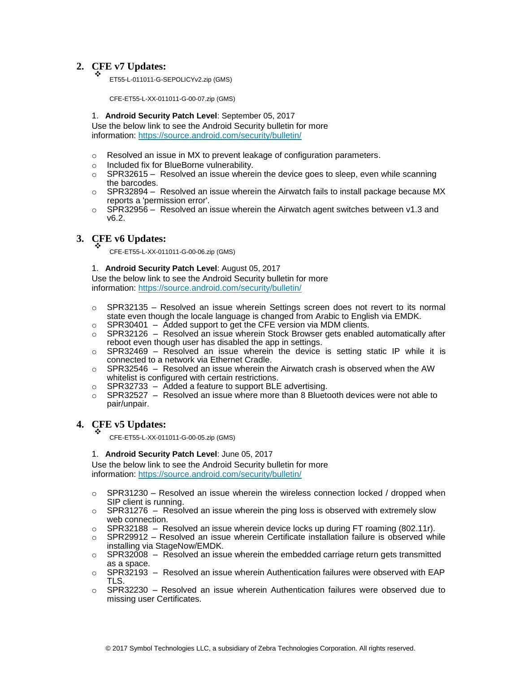#### **2. CFE v7 Updates:** ❖

ET55-L-011011-G-SEPOLICYv2.zip (GMS)

CFE-ET55-L-XX-011011-G-00-07.zip (GMS)

### 1. **Android Security Patch Level**: September 05, 2017

Use the below link to see the Android Security bulletin for more information:<https://source.android.com/security/bulletin/>

- $\circ$  Resolved an issue in MX to prevent leakage of configuration parameters.
- o Included fix for BlueBorne vulnerability.
- $\circ$  SPR32615 Resolved an issue wherein the device goes to sleep, even while scanning the barcodes.
- $\circ$  SPR32894 Resolved an issue wherein the Airwatch fails to install package because MX reports a 'permission error'.
- $\circ$  SPR32956 Resolved an issue wherein the Airwatch agent switches between v1.3 and v6.2.

#### **3. CFE v6 Updates:** ❖

CFE-ET55-L-XX-011011-G-00-06.zip (GMS)

### 1. **Android Security Patch Level**: August 05, 2017

Use the below link to see the Android Security bulletin for more information:<https://source.android.com/security/bulletin/>

- $\circ$  SPR32135 Resolved an issue wherein Settings screen does not revert to its normal state even though the locale language is changed from Arabic to English via EMDK.
- $\circ$  SPR30401 Added support to get the CFE version via MDM clients.
- $\circ$  SPR32126 Resolved an issue wherein Stock Browser gets enabled automatically after reboot even though user has disabled the app in settings.
- $\circ$  SPR32469 Resolved an issue wherein the device is setting static IP while it is connected to a network via Ethernet Cradle.
- $\circ$  SPR32546 Resolved an issue wherein the Airwatch crash is observed when the AW whitelist is configured with certain restrictions.
- o SPR32733 Added a feature to support BLE advertising.
- $\circ$  SPR32527 Resolved an issue where more than 8 Bluetooth devices were not able to pair/unpair.

#### **4. CFE v5 Updates:** ❖

CFE-ET55-L-XX-011011-G-00-05.zip (GMS)

### 1. **Android Security Patch Level**: June 05, 2017

Use the below link to see the Android Security bulletin for more information:<https://source.android.com/security/bulletin/>

- $\circ$  SPR31230 Resolved an issue wherein the wireless connection locked / dropped when SIP client is running.
- $\circ$  SPR31276 Resolved an issue wherein the ping loss is observed with extremely slow web connection.
- $\circ$  SPR32188 Resolved an issue wherein device locks up during FT roaming (802.11r).
- $\circ$  SPR29912 Resolved an issue wherein Certificate installation failure is observed while installing via StageNow/EMDK.
- $\circ$  SPR32008 Resolved an issue wherein the embedded carriage return gets transmitted as a space.
- $\circ$  SPR32193 Resolved an issue wherein Authentication failures were observed with EAP TLS.
- $\circ$  SPR32230 Resolved an issue wherein Authentication failures were observed due to missing user Certificates.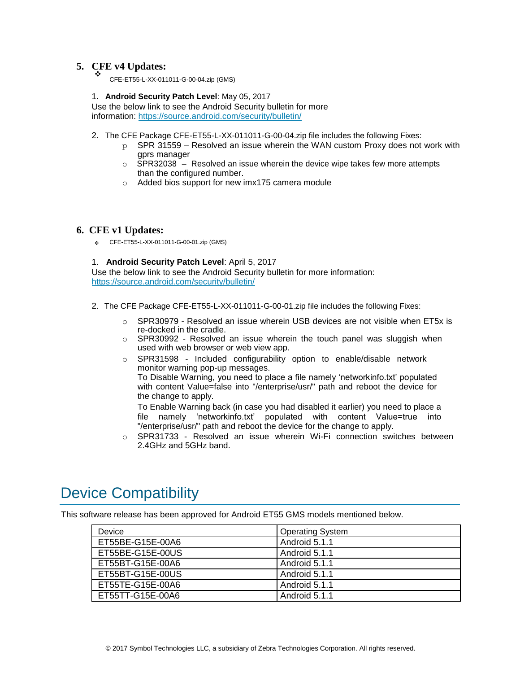#### **5. CFE v4 Updates:** ❖

CFE-ET55-L-XX-011011-G-00-04.zip (GMS)

### 1. **Android Security Patch Level**: May 05, 2017

Use the below link to see the Android Security bulletin for more information:<https://source.android.com/security/bulletin/>

- 2. The CFE Package CFE-ET55-L-XX-011011-G-00-04.zip file includes the following Fixes:
	- $p$  SPR 31559 Resolved an issue wherein the WAN custom Proxy does not work with gprs manager
	- o SPR32038 Resolved an issue wherein the device wipe takes few more attempts than the configured number.
	- o Added bios support for new imx175 camera module

### **6. CFE v1 Updates:**

❖ CFE-ET55-L-XX-011011-G-00-01.zip (GMS)

#### 1. **Android Security Patch Level**: April 5, 2017

Use the below link to see the Android Security bulletin for more information: <https://source.android.com/security/bulletin/>

- 2. The CFE Package CFE-ET55-L-XX-011011-G-00-01.zip file includes the following Fixes:
	- $\circ$  SPR30979 Resolved an issue wherein USB devices are not visible when ET5x is re-docked in the cradle.
	- $\circ$  SPR30992 Resolved an issue wherein the touch panel was sluggish when used with web browser or web view app.
	- $\circ$  SPR31598 Included configurability option to enable/disable network monitor warning pop-up messages.

To Disable Warning, you need to place a file namely 'networkinfo.txt' populated with content Value=false into "/enterprise/usr/" path and reboot the device for the change to apply.

To Enable Warning back (in case you had disabled it earlier) you need to place a file namely 'networkinfo.txt' populated with content Value=true into "/enterprise/usr/" path and reboot the device for the change to apply.

o SPR31733 - Resolved an issue wherein Wi-Fi connection switches between 2.4GHz and 5GHz band.

### <span id="page-2-0"></span>Device Compatibility

This software release has been approved for Android ET55 GMS models mentioned below.

| Device           | <b>Operating System</b> |
|------------------|-------------------------|
| ET55BE-G15E-00A6 | Android 5.1.1           |
| ET55BE-G15E-00US | Android 5.1.1           |
| ET55BT-G15E-00A6 | Android 5.1.1           |
| ET55BT-G15E-00US | Android 5.1.1           |
| ET55TE-G15E-00A6 | Android 5.1.1           |
| ET55TT-G15E-00A6 | Android 5.1.1           |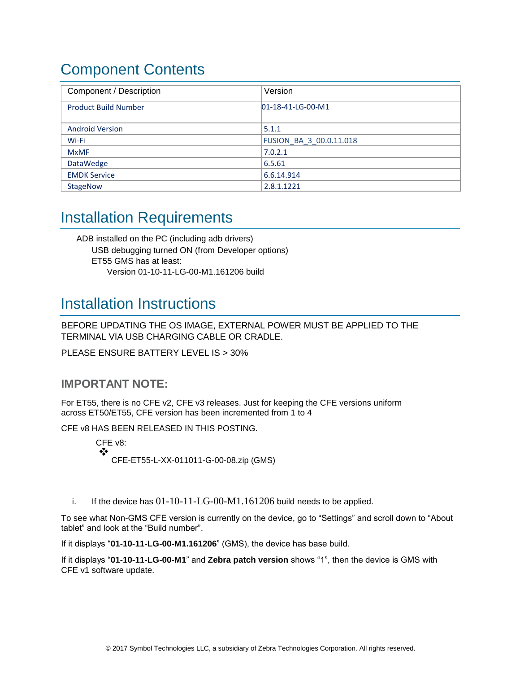# <span id="page-3-0"></span>Component Contents

| Component / Description     | Version                 |
|-----------------------------|-------------------------|
| <b>Product Build Number</b> | $D1-18-41-LG-00-M1$     |
|                             |                         |
| <b>Android Version</b>      | 5.1.1                   |
| Wi-Fi                       | FUSION_BA_3_00.0.11.018 |
| <b>MxMF</b>                 | 7.0.2.1                 |
| DataWedge                   | 6.5.61                  |
| <b>EMDK Service</b>         | 6.6.14.914              |
| <b>StageNow</b>             | 2.8.1.1221              |

## <span id="page-3-1"></span>Installation Requirements

ADB installed on the PC (including adb drivers) USB debugging turned ON (from Developer options) ET55 GMS has at least: Version 01-10-11-LG-00-M1.161206 build

## <span id="page-3-2"></span>Installation Instructions

BEFORE UPDATING THE OS IMAGE, EXTERNAL POWER MUST BE APPLIED TO THE TERMINAL VIA USB CHARGING CABLE OR CRADLE.

PLEASE ENSURE BATTERY LEVEL IS > 30%

### **IMPORTANT NOTE:**

For ET55, there is no CFE v2, CFE v3 releases. Just for keeping the CFE versions uniform across ET50/ET55, CFE version has been incremented from 1 to 4

CFE v8 HAS BEEN RELEASED IN THIS POSTING.

CFE v8: ❖ CFE-ET55-L-XX-011011-G-00-08.zip (GMS)

i. If the device has  $01-10-11-LG-00-M1.161206$  build needs to be applied.

To see what Non-GMS CFE version is currently on the device, go to "Settings" and scroll down to "About tablet" and look at the "Build number".

If it displays "**01-10-11-LG-00-M1.161206**" (GMS), the device has base build.

If it displays "**01-10-11-LG-00-M1**" and **Zebra patch version** shows "1", then the device is GMS with CFE v1 software update.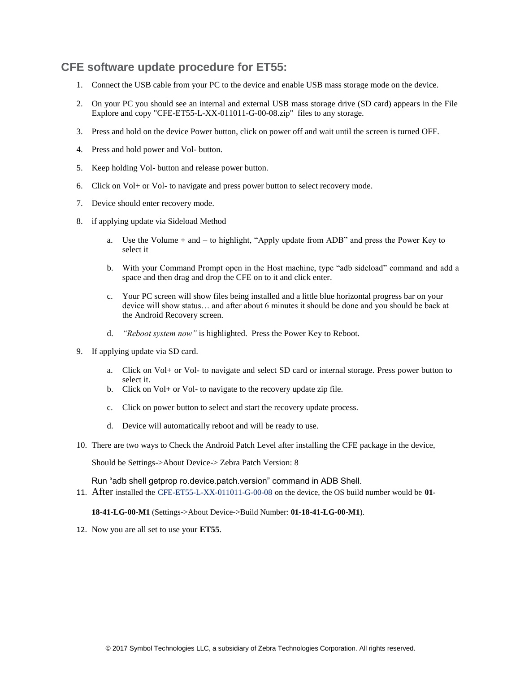### **CFE software update procedure for ET55:**

- 1. Connect the USB cable from your PC to the device and enable USB mass storage mode on the device.
- 2. On your PC you should see an internal and external USB mass storage drive (SD card) appears in the File Explore and copy "CFE-ET55-L-XX-011011-G-00-08.zip" files to any storage.
- 3. Press and hold on the device Power button, click on power off and wait until the screen is turned OFF.
- 4. Press and hold power and Vol- button.
- 5. Keep holding Vol- button and release power button.
- 6. Click on Vol+ or Vol- to navigate and press power button to select recovery mode.
- 7. Device should enter recovery mode.
- 8. if applying update via Sideload Method
	- a. Use the Volume + and to highlight, "Apply update from ADB" and press the Power Key to select it
	- b. With your Command Prompt open in the Host machine, type "adb sideload" command and add a space and then drag and drop the CFE on to it and click enter.
	- c. Your PC screen will show files being installed and a little blue horizontal progress bar on your device will show status… and after about 6 minutes it should be done and you should be back at the Android Recovery screen.
	- d. *"Reboot system now"* is highlighted. Press the Power Key to Reboot.
- 9. If applying update via SD card.
	- a. Click on Vol+ or Vol- to navigate and select SD card or internal storage. Press power button to select it.
	- b. Click on Vol+ or Vol- to navigate to the recovery update zip file.
	- c. Click on power button to select and start the recovery update process.
	- d. Device will automatically reboot and will be ready to use.
- 10. There are two ways to Check the Android Patch Level after installing the CFE package in the device,

Should be Settings->About Device-> Zebra Patch Version: 8

Run "adb shell getprop ro.device.patch.version" command in ADB Shell.

11. After installed the CFE-ET55-L-XX-011011-G-00-08 on the device, the OS build number would be **01-**

**18-41-LG-00-M1** (Settings->About Device->Build Number: **01-18-41-LG-00-M1**).

12. Now you are all set to use your **ET55**.